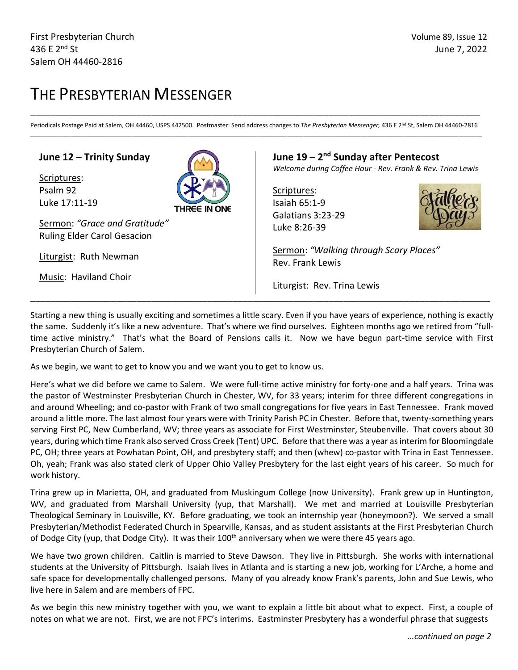# THE PRESBYTERIAN MESSENGER

\_\_\_\_\_\_\_\_\_\_\_\_\_\_\_\_\_\_\_\_\_\_\_\_\_\_\_\_\_\_\_\_\_\_\_\_\_\_\_\_\_\_\_\_\_\_\_\_\_\_\_\_\_\_\_\_\_\_\_\_\_\_\_\_\_\_\_\_\_\_\_\_\_\_\_\_\_\_\_\_\_\_\_\_\_\_\_\_\_ Periodicals Postage Paid at Salem, OH 44460, USPS 442500. Postmaster: Send address changes to *The Presbyterian Messenger,* 436 E 2<sup>nd</sup> St, Salem OH 44460-2816 \_\_\_\_\_\_\_\_\_\_\_\_\_\_\_\_\_\_\_\_\_\_\_\_\_\_\_\_\_\_\_\_\_\_\_\_\_\_\_\_\_\_\_\_\_\_\_\_\_\_\_\_\_\_\_\_\_\_\_\_\_\_\_\_\_\_\_\_\_\_\_\_\_\_\_\_\_\_\_\_\_\_\_\_\_\_\_\_\_\_\_\_\_\_\_\_\_\_\_\_\_\_\_\_\_\_\_\_\_\_\_\_\_\_\_\_\_\_\_\_\_\_\_\_\_\_\_\_\_\_\_\_\_\_

### **June 12 – Trinity Sunday**

Scriptures: Psalm 92 Luke 17:11-19



Sermon: *"Grace and Gratitude"* Ruling Elder Carol Gesacion

Liturgist: Ruth Newman

Music: Haviland Choir

### **June 19 – 2 nd Sunday after Pentecost**

*Welcome during Coffee Hour - Rev. Frank & Rev. Trina Lewis* 

Scriptures: Isaiah 65:1-9 Galatians 3:23-29 Luke 8:26-39



Sermon: *"Walking through Scary Places"* Rev. Frank Lewis

Liturgist: Rev. Trina Lewis

Starting a new thing is usually exciting and sometimes a little scary. Even if you have years of experience, nothing is exactly the same. Suddenly it's like a new adventure. That's where we find ourselves. Eighteen months ago we retired from "fulltime active ministry." That's what the Board of Pensions calls it. Now we have begun part-time service with First Presbyterian Church of Salem.

\_\_\_\_\_\_\_\_\_\_\_\_\_\_\_\_\_\_\_\_\_\_\_\_\_\_\_\_\_\_\_\_\_\_\_\_\_\_\_\_\_\_\_\_\_\_\_\_\_\_\_\_\_\_\_\_\_\_\_\_\_\_\_\_\_\_\_\_\_\_\_\_\_\_\_\_\_\_\_\_\_\_\_\_\_\_\_\_\_\_\_

As we begin, we want to get to know you and we want you to get to know us.

Here's what we did before we came to Salem. We were full-time active ministry for forty-one and a half years. Trina was the pastor of Westminster Presbyterian Church in Chester, WV, for 33 years; interim for three different congregations in and around Wheeling; and co-pastor with Frank of two small congregations for five years in East Tennessee. Frank moved around a little more. The last almost four years were with Trinity Parish PC in Chester. Before that, twenty-something years serving First PC, New Cumberland, WV; three years as associate for First Westminster, Steubenville. That covers about 30 years, during which time Frank also served Cross Creek (Tent) UPC. Before that there was a year as interim for Bloomingdale PC, OH; three years at Powhatan Point, OH, and presbytery staff; and then (whew) co-pastor with Trina in East Tennessee. Oh, yeah; Frank was also stated clerk of Upper Ohio Valley Presbytery for the last eight years of his career. So much for work history.

Trina grew up in Marietta, OH, and graduated from Muskingum College (now University). Frank grew up in Huntington, WV, and graduated from Marshall University (yup, that Marshall). We met and married at Louisville Presbyterian Theological Seminary in Louisville, KY. Before graduating, we took an internship year (honeymoon?). We served a small Presbyterian/Methodist Federated Church in Spearville, Kansas, and as student assistants at the First Presbyterian Church of Dodge City (yup, that Dodge City). It was their 100<sup>th</sup> anniversary when we were there 45 years ago.

We have two grown children. Caitlin is married to Steve Dawson. They live in Pittsburgh. She works with international students at the University of Pittsburgh. Isaiah lives in Atlanta and is starting a new job, working for L'Arche, a home and safe space for developmentally challenged persons. Many of you already know Frank's parents, John and Sue Lewis, who live here in Salem and are members of FPC.

As we begin this new ministry together with you, we want to explain a little bit about what to expect. First, a couple of notes on what we are not. First, we are not FPC's interims. Eastminster Presbytery has a wonderful phrase that suggests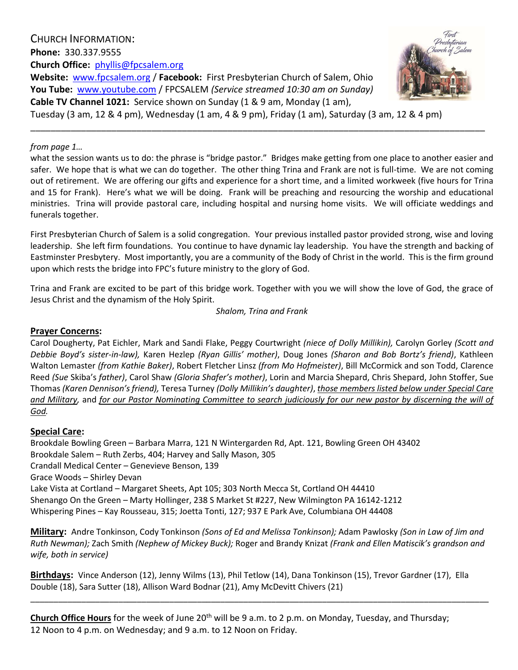CHURCH INFORMATION: **Phone:** 330.337.9555 **Church Office:** phyllis@fpcsalem.org **Website:** [www.fpcsalem.org](http://www.fpcsalem.org/) / **Facebook:** First Presbyterian Church of Salem, Ohio **You Tube:** [www.youtube.com](http://www.youtube.com/) / FPCSALEM *(Service streamed 10:30 am on Sunday)*

**Cable TV Channel 1021:** Service shown on Sunday (1 & 9 am, Monday (1 am),



Tuesday (3 am, 12 & 4 pm), Wednesday (1 am, 4 & 9 pm), Friday (1 am), Saturday (3 am, 12 & 4 pm)

#### *from page 1…*

what the session wants us to do: the phrase is "bridge pastor." Bridges make getting from one place to another easier and safer. We hope that is what we can do together. The other thing Trina and Frank are not is full-time. We are not coming out of retirement. We are offering our gifts and experience for a short time, and a limited workweek (five hours for Trina and 15 for Frank). Here's what we will be doing. Frank will be preaching and resourcing the worship and educational ministries. Trina will provide pastoral care, including hospital and nursing home visits. We will officiate weddings and funerals together.

\_\_\_\_\_\_\_\_\_\_\_\_\_\_\_\_\_\_\_\_\_\_\_\_\_\_\_\_\_\_\_\_\_\_\_\_\_\_\_\_\_\_\_\_\_\_\_\_\_\_\_\_\_\_\_\_\_\_\_\_\_\_\_\_\_\_\_\_\_\_\_\_\_\_\_\_\_\_\_\_\_\_\_\_\_\_\_\_\_\_

First Presbyterian Church of Salem is a solid congregation. Your previous installed pastor provided strong, wise and loving leadership. She left firm foundations. You continue to have dynamic lay leadership. You have the strength and backing of Eastminster Presbytery. Most importantly, you are a community of the Body of Christ in the world. This is the firm ground upon which rests the bridge into FPC's future ministry to the glory of God.

Trina and Frank are excited to be part of this bridge work. Together with you we will show the love of God, the grace of Jesus Christ and the dynamism of the Holy Spirit.

*Shalom, Trina and Frank*

#### **Prayer Concerns:**

Carol Dougherty, Pat Eichler, Mark and Sandi Flake, Peggy Courtwright *(niece of Dolly Millikin),* Carolyn Gorley *(Scott and Debbie Boyd's sister-in-law),* Karen Hezlep *(Ryan Gillis' mother)*, Doug Jones *(Sharon and Bob Bortz's friend)*, Kathleen Walton Lemaster *(from Kathie Baker)*, Robert Fletcher Linsz *(from Mo Hofmeister)*, Bill McCormick and son Todd, Clarence Reed *(Sue* Skiba's *father)*, Carol Shaw *(Gloria Shafer's mother)*, Lorin and Marcia Shepard, Chris Shepard, John Stoffer, Sue Thomas *(Karen Dennison's friend),* Teresa Turney *(Dolly Millikin's daughter)*, *those members listed below under Special Care and Military,* and *for our Pastor Nominating Committee to search judiciously for our new pastor by discerning the will of God.*

### **Special Care:**

Brookdale Bowling Green – Barbara Marra, 121 N Wintergarden Rd, Apt. 121, Bowling Green OH 43402 Brookdale Salem – Ruth Zerbs, 404; Harvey and Sally Mason, 305 Crandall Medical Center – Genevieve Benson, 139 Grace Woods – Shirley Devan Lake Vista at Cortland – Margaret Sheets, Apt 105; 303 North Mecca St, Cortland OH 44410 Shenango On the Green – Marty Hollinger, 238 S Market St #227, New Wilmington PA 16142-1212 Whispering Pines – Kay Rousseau, 315; Joetta Tonti, 127; 937 E Park Ave, Columbiana OH 44408

**Military:** Andre Tonkinson, Cody Tonkinson *(Sons of Ed and Melissa Tonkinson);* Adam Pawlosky *(Son in Law of Jim and Ruth Newman);* Zach Smith *(Nephew of Mickey Buck);* Roger and Brandy Knizat *(Frank and Ellen Matiscik's grandson and wife, both in service)*

\_\_\_\_\_\_\_\_\_\_\_\_\_\_\_\_\_\_\_\_\_\_\_\_\_\_\_\_\_\_\_\_\_\_\_\_\_\_\_\_\_\_\_\_\_\_\_\_\_\_\_\_\_\_\_\_\_\_\_\_\_\_\_\_\_\_\_\_\_\_\_\_\_\_\_\_\_\_\_\_\_\_\_\_\_\_\_\_\_\_\_\_\_\_\_\_\_\_\_

**Birthdays:** Vince Anderson (12), Jenny Wilms (13), Phil Tetlow (14), Dana Tonkinson (15), Trevor Gardner (17), Ella Double (18), Sara Sutter (18), Allison Ward Bodnar (21), Amy McDevitt Chivers (21)

Church Office Hours for the week of June 20<sup>th</sup> will be 9 a.m. to 2 p.m. on Monday, Tuesday, and Thursday; 12 Noon to 4 p.m. on Wednesday; and 9 a.m. to 12 Noon on Friday.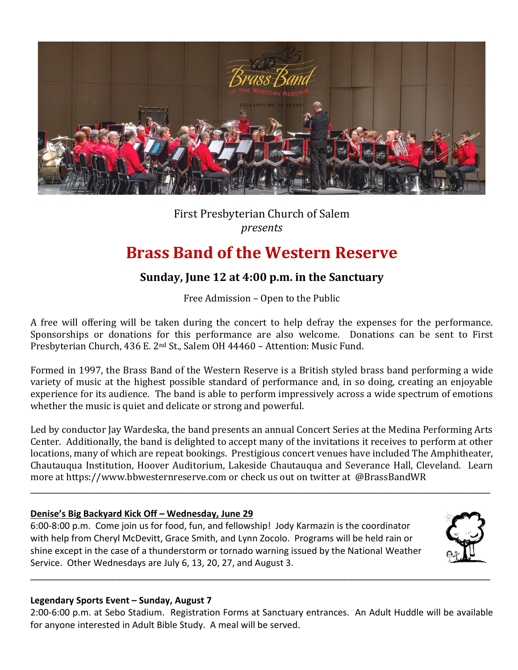

# First Presbyterian Church of Salem *presents*

# **Brass Band of the Western Reserve**

## **Sunday, June 12 at 4:00 p.m. in the Sanctuary**

Free Admission – Open to the Public

A free will offering will be taken during the concert to help defray the expenses for the performance. Sponsorships or donations for this performance are also welcome. Donations can be sent to First Presbyterian Church, 436 E. 2nd St., Salem OH 44460 – Attention: Music Fund.

Formed in 1997, the Brass Band of the Western Reserve is a British styled brass band performing a wide variety of music at the highest possible standard of performance and, in so doing, creating an enjoyable experience for its audience. The band is able to perform impressively across a wide spectrum of emotions whether the music is quiet and delicate or strong and powerful.

Led by conductor Jay Wardeska, the band presents an annual Concert Series at the Medina Performing Arts Center. Additionally, the band is delighted to accept many of the invitations it receives to perform at other locations, many of which are repeat bookings. Prestigious concert venues have included The Amphitheater, Chautauqua Institution, Hoover Auditorium, Lakeside Chautauqua and Severance Hall, Cleveland. Learn more at [https://www.bbwesternreserve.com](https://www.bbwesternreserve.com/?fbclid=IwAR0tuv596NXAUysJnLNGCL_pmMG_h7kyghqsBHuX8fjI3ssRjbN9moHts4s) or check us out on twitter at @BrassBandWR

\_\_\_\_\_\_\_\_\_\_\_\_\_\_\_\_\_\_\_\_\_\_\_\_\_\_\_\_\_\_\_\_\_\_\_\_\_\_\_\_\_\_\_\_\_\_\_\_\_\_\_\_\_\_\_\_\_\_\_\_\_\_\_\_\_\_\_\_\_\_\_\_\_\_\_\_\_\_\_\_\_\_\_\_\_\_\_\_\_\_\_\_\_\_\_

## **Denise's Big Backyard Kick Off – Wednesday, June 29**

6:00-8:00 p.m. Come join us for food, fun, and fellowship! Jody Karmazin is the coordinator with help from Cheryl McDevitt, Grace Smith, and Lynn Zocolo. Programs will be held rain or shine except in the case of a thunderstorm or tornado warning issued by the National Weather Service. Other Wednesdays are July 6, 13, 20, 27, and August 3.



## **Legendary Sports Event – Sunday, August 7**

2:00-6:00 p.m. at Sebo Stadium. Registration Forms at Sanctuary entrances. An Adult Huddle will be available for anyone interested in Adult Bible Study. A meal will be served.

\_\_\_\_\_\_\_\_\_\_\_\_\_\_\_\_\_\_\_\_\_\_\_\_\_\_\_\_\_\_\_\_\_\_\_\_\_\_\_\_\_\_\_\_\_\_\_\_\_\_\_\_\_\_\_\_\_\_\_\_\_\_\_\_\_\_\_\_\_\_\_\_\_\_\_\_\_\_\_\_\_\_\_\_\_\_\_\_\_\_\_